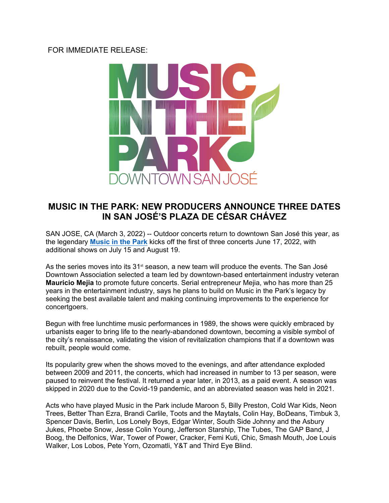## FOR IMMEDIATE RELEASE:



## **MUSIC IN THE PARK: NEW PRODUCERS ANNOUNCE THREE DATES IN SAN JOSÉ'S PLAZA DE CÉSAR CHÁVEZ**

SAN JOSE, CA (March 3, 2022) -- Outdoor concerts return to downtown San José this year, as the legendary **[Music in the Park](https://www.mitpsj.com/)** kicks off the first of three concerts June 17, 2022, with additional shows on July 15 and August 19.

As the series moves into its  $31<sup>st</sup>$  season, a new team will produce the events. The San José Downtown Association selected a team led by downtown-based entertainment industry veteran **Mauricio Mejia** to promote future concerts. Serial entrepreneur Mejia, who has more than 25 years in the entertainment industry, says he plans to build on Music in the Park's legacy by seeking the best available talent and making continuing improvements to the experience for concertgoers.

Begun with free lunchtime music performances in 1989, the shows were quickly embraced by urbanists eager to bring life to the nearly-abandoned downtown, becoming a visible symbol of the city's renaissance, validating the vision of revitalization champions that if a downtown was rebuilt, people would come.

Its popularity grew when the shows moved to the evenings, and after attendance exploded between 2009 and 2011, the concerts, which had increased in number to 13 per season, were paused to reinvent the festival. It returned a year later, in 2013, as a paid event. A season was skipped in 2020 due to the Covid-19 pandemic, and an abbreviated season was held in 2021.

Acts who have played Music in the Park include Maroon 5, Billy Preston, Cold War Kids, Neon Trees, Better Than Ezra, Brandi Carlile, Toots and the Maytals, Colin Hay, BoDeans, Timbuk 3, Spencer Davis, Berlin, Los Lonely Boys, Edgar Winter, South Side Johnny and the Asbury Jukes, Phoebe Snow, Jesse Colin Young, Jefferson Starship, The Tubes, The GAP Band, J Boog, the Delfonics, War, Tower of Power, Cracker, Femi Kuti, Chic, Smash Mouth, Joe Louis Walker, Los Lobos, Pete Yorn, Ozomatli, Y&T and Third Eye Blind.